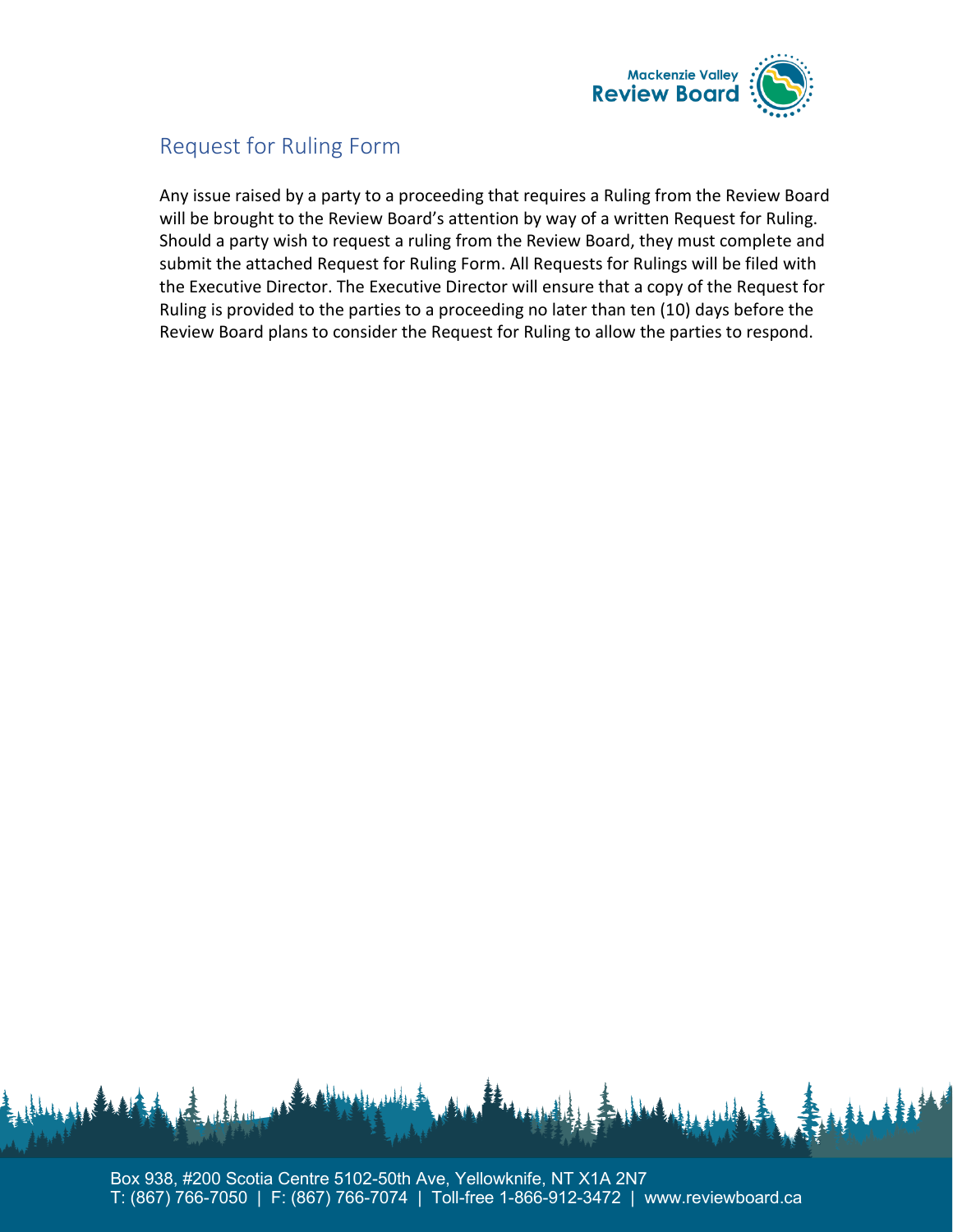

## Request for Ruling Form

Any issue raised by a party to a proceeding that requires a Ruling from the Review Board will be brought to the Review Board's attention by way of a written Request for Ruling. Should a party wish to request a ruling from the Review Board, they must complete and submit the attached Request for Ruling Form. All Requests for Rulings will be filed with the Executive Director. The Executive Director will ensure that a copy of the Request for Ruling is provided to the parties to a proceeding no later than ten (10) days before the Review Board plans to consider the Request for Ruling to allow the parties to respond.

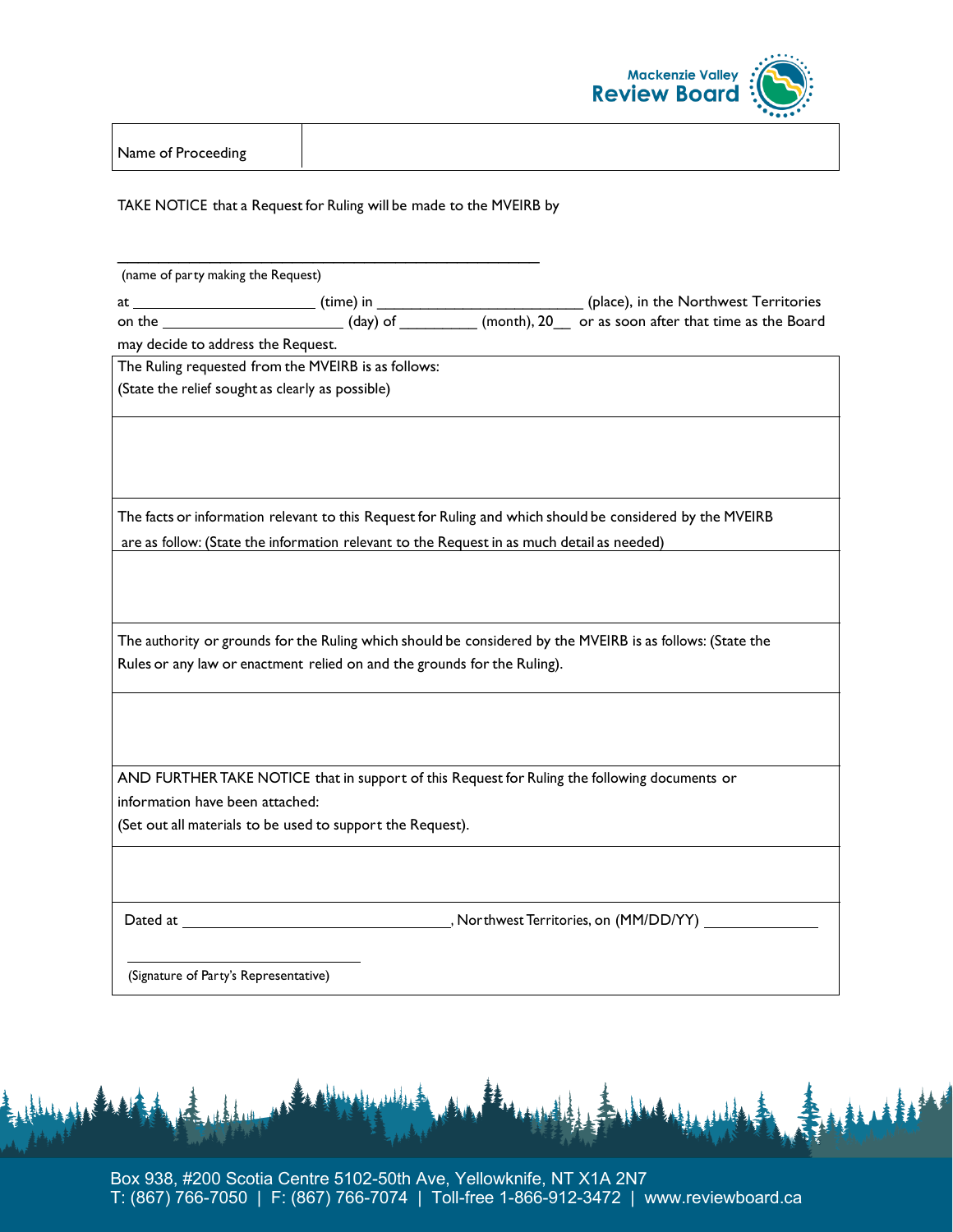

Name of Proceeding

TAKE NOTICE that a Request for Ruling will be made to the MVEIRB by

\_\_\_\_\_\_\_\_\_\_\_\_\_\_\_\_\_\_\_\_\_\_\_\_\_\_\_\_\_\_\_\_\_\_\_\_\_\_\_\_\_

| (name of party making the Request)                                                                                                                                                                      |                                                            |  |                                                                                               |
|---------------------------------------------------------------------------------------------------------------------------------------------------------------------------------------------------------|------------------------------------------------------------|--|-----------------------------------------------------------------------------------------------|
|                                                                                                                                                                                                         |                                                            |  |                                                                                               |
|                                                                                                                                                                                                         |                                                            |  |                                                                                               |
| may decide to address the Request.                                                                                                                                                                      |                                                            |  |                                                                                               |
| The Ruling requested from the MVEIRB is as follows:                                                                                                                                                     |                                                            |  |                                                                                               |
| (State the relief sought as clearly as possible)                                                                                                                                                        |                                                            |  |                                                                                               |
|                                                                                                                                                                                                         |                                                            |  |                                                                                               |
|                                                                                                                                                                                                         |                                                            |  |                                                                                               |
| The facts or information relevant to this Request for Ruling and which should be considered by the MVEIRB<br>are as follow: (State the information relevant to the Request in as much detail as needed) |                                                            |  |                                                                                               |
|                                                                                                                                                                                                         |                                                            |  |                                                                                               |
| The authority or grounds for the Ruling which should be considered by the MVEIRB is as follows: (State the<br>Rules or any law or enactment relied on and the grounds for the Ruling).                  |                                                            |  |                                                                                               |
|                                                                                                                                                                                                         |                                                            |  |                                                                                               |
|                                                                                                                                                                                                         |                                                            |  | AND FURTHER TAKE NOTICE that in support of this Request for Ruling the following documents or |
| information have been attached:                                                                                                                                                                         |                                                            |  |                                                                                               |
|                                                                                                                                                                                                         | (Set out all materials to be used to support the Request). |  |                                                                                               |
|                                                                                                                                                                                                         |                                                            |  |                                                                                               |
|                                                                                                                                                                                                         |                                                            |  |                                                                                               |
| (Signature of Party's Representative)                                                                                                                                                                   |                                                            |  |                                                                                               |